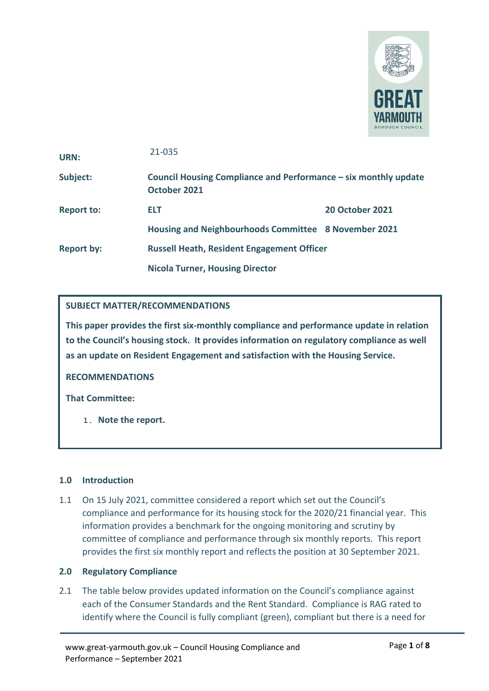

| URN:              | 21-035                                                                          |                        |  |
|-------------------|---------------------------------------------------------------------------------|------------------------|--|
| Subject:          | Council Housing Compliance and Performance – six monthly update<br>October 2021 |                        |  |
| <b>Report to:</b> | ELT                                                                             | <b>20 October 2021</b> |  |
|                   | Housing and Neighbourhoods Committee 8 November 2021                            |                        |  |
| <b>Report by:</b> | <b>Russell Heath, Resident Engagement Officer</b>                               |                        |  |
|                   | <b>Nicola Turner, Housing Director</b>                                          |                        |  |

## **SUBJECT MATTER/RECOMMENDATIONS**

**This paper provides the first six-monthly compliance and performance update in relation to the Council's housing stock. It provides information on regulatory compliance as well as an update on Resident Engagement and satisfaction with the Housing Service.** 

**RECOMMENDATIONS**

**That Committee:**

**1. Note the report.**

## **1.0 Introduction**

1.1 On 15 July 2021, committee considered a report which set out the Council's compliance and performance for its housing stock for the 2020/21 financial year. This information provides a benchmark for the ongoing monitoring and scrutiny by committee of compliance and performance through six monthly reports. This report provides the first six monthly report and reflects the position at 30 September 2021.

## **2.0 Regulatory Compliance**

2.1 The table below provides updated information on the Council's compliance against each of the Consumer Standards and the Rent Standard. Compliance is RAG rated to identify where the Council is fully compliant (green), compliant but there is a need for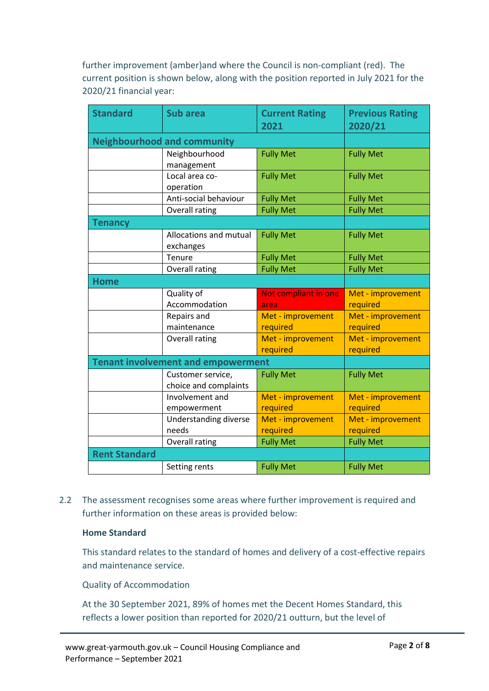further improvement (amber)and where the Council is non-compliant (red). The current position is shown below, along with the position reported in July 2021 for the 2020/21 financial year:

| <b>Standard</b>      | <b>Sub area</b>                            | <b>Current Rating</b><br>2021 | <b>Previous Rating</b> |
|----------------------|--------------------------------------------|-------------------------------|------------------------|
|                      |                                            |                               | 2020/21                |
|                      | <b>Neighbourhood and community</b>         |                               |                        |
|                      | Neighbourhood<br>management                | <b>Fully Met</b>              | <b>Fully Met</b>       |
|                      | Local area co-<br>operation                | <b>Fully Met</b>              | <b>Fully Met</b>       |
|                      | Anti-social behaviour                      | <b>Fully Met</b>              | <b>Fully Met</b>       |
|                      | <b>Overall rating</b>                      | <b>Fully Met</b>              | <b>Fully Met</b>       |
| <b>Tenancy</b>       |                                            |                               |                        |
|                      | Allocations and mutual<br>exchanges        | <b>Fully Met</b>              | <b>Fully Met</b>       |
|                      | Tenure                                     | <b>Fully Met</b>              | <b>Fully Met</b>       |
|                      | Overall rating                             | <b>Fully Met</b>              | <b>Fully Met</b>       |
| <b>Home</b>          |                                            |                               |                        |
|                      |                                            |                               |                        |
|                      | Quality of                                 | Not compliant in one          | Met - improvement      |
|                      | Accommodation                              | area                          | required               |
|                      | Repairs and                                | Met - improvement             | Met - improvement      |
|                      | maintenance                                | required                      | required               |
|                      | Overall rating                             | Met - improvement             | Met - improvement      |
|                      |                                            | required                      | required               |
|                      | <b>Tenant involvement and empowerment</b>  |                               |                        |
|                      | Customer service,<br>choice and complaints | <b>Fully Met</b>              | <b>Fully Met</b>       |
|                      | Involvement and                            | Met - improvement             | Met - improvement      |
|                      | empowerment                                | required                      | required               |
|                      | Understanding diverse                      | Met - improvement             | Met - improvement      |
|                      | needs                                      | required                      | required               |
|                      | <b>Overall rating</b>                      | <b>Fully Met</b>              | <b>Fully Met</b>       |
| <b>Rent Standard</b> |                                            |                               |                        |

2.2 The assessment recognises some areas where further improvement is required and further information on these areas is provided below:

## **Home Standard**

This standard relates to the standard of homes and delivery of a cost-effective repairs and maintenance service.

Quality of Accommodation

At the 30 September 2021, 89% of homes met the Decent Homes Standard, this reflects a lower position than reported for 2020/21 outturn, but the level of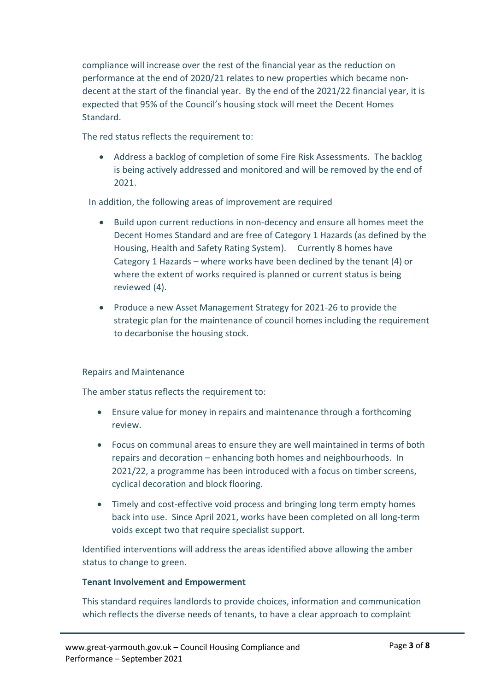compliance will increase over the rest of the financial year as the reduction on performance at the end of 2020/21 relates to new properties which became nondecent at the start of the financial year. By the end of the 2021/22 financial year, it is expected that 95% of the Council's housing stock will meet the Decent Homes Standard.

The red status reflects the requirement to:

• Address a backlog of completion of some Fire Risk Assessments. The backlog is being actively addressed and monitored and will be removed by the end of 2021.

In addition, the following areas of improvement are required

- Build upon current reductions in non-decency and ensure all homes meet the Decent Homes Standard and are free of Category 1 Hazards (as defined by the Housing, Health and Safety Rating System). Currently 8 homes have Category 1 Hazards – where works have been declined by the tenant (4) or where the extent of works required is planned or current status is being reviewed (4).
- Produce a new Asset Management Strategy for 2021-26 to provide the strategic plan for the maintenance of council homes including the requirement to decarbonise the housing stock.

## Repairs and Maintenance

The amber status reflects the requirement to:

- Ensure value for money in repairs and maintenance through a forthcoming review.
- Focus on communal areas to ensure they are well maintained in terms of both repairs and decoration – enhancing both homes and neighbourhoods. In 2021/22, a programme has been introduced with a focus on timber screens, cyclical decoration and block flooring.
- Timely and cost-effective void process and bringing long term empty homes back into use. Since April 2021, works have been completed on all long-term voids except two that require specialist support.

Identified interventions will address the areas identified above allowing the amber status to change to green.

## **Tenant Involvement and Empowerment**

This standard requires landlords to provide choices, information and communication which reflects the diverse needs of tenants, to have a clear approach to complaint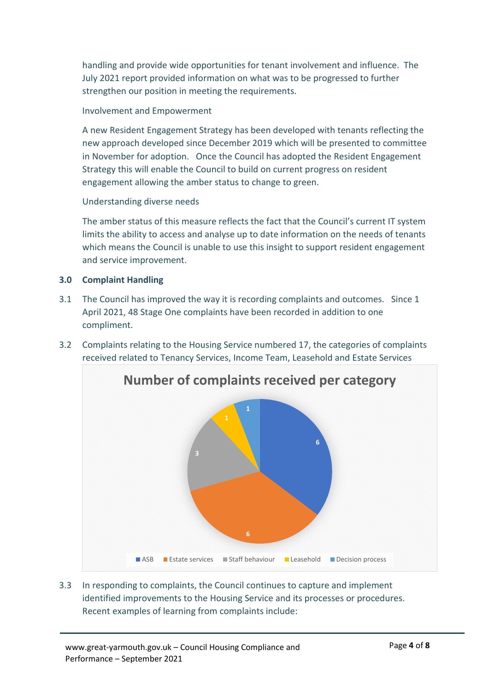handling and provide wide opportunities for tenant involvement and influence. The July 2021 report provided information on what was to be progressed to further strengthen our position in meeting the requirements.

# Involvement and Empowerment

A new Resident Engagement Strategy has been developed with tenants reflecting the new approach developed since December 2019 which will be presented to committee in November for adoption. Once the Council has adopted the Resident Engagement Strategy this will enable the Council to build on current progress on resident engagement allowing the amber status to change to green.

## Understanding diverse needs

The amber status of this measure reflects the fact that the Council's current IT system limits the ability to access and analyse up to date information on the needs of tenants which means the Council is unable to use this insight to support resident engagement and service improvement.

## **3.0 Complaint Handling**

- 3.1 The Council has improved the way it is recording complaints and outcomes. Since 1 April 2021, 48 Stage One complaints have been recorded in addition to one compliment.
- 3.2 Complaints relating to the Housing Service numbered 17, the categories of complaints received related to Tenancy Services, Income Team, Leasehold and Estate Services



3.3 In responding to complaints, the Council continues to capture and implement identified improvements to the Housing Service and its processes or procedures. Recent examples of learning from complaints include: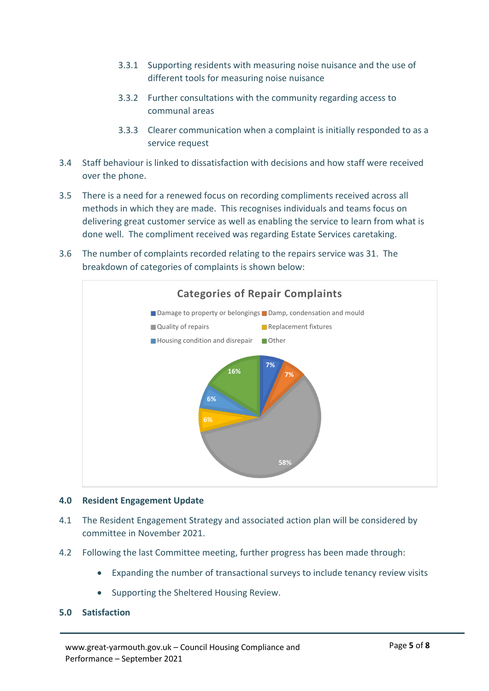- 3.3.1 Supporting residents with measuring noise nuisance and the use of different tools for measuring noise nuisance
- 3.3.2 Further consultations with the community regarding access to communal areas
- 3.3.3 Clearer communication when a complaint is initially responded to as a service request
- 3.4 Staff behaviour is linked to dissatisfaction with decisions and how staff were received over the phone.
- 3.5 There is a need for a renewed focus on recording compliments received across all methods in which they are made. This recognises individuals and teams focus on delivering great customer service as well as enabling the service to learn from what is done well. The compliment received was regarding Estate Services caretaking.
- 3.6 The number of complaints recorded relating to the repairs service was 31. The breakdown of categories of complaints is shown below:



## **4.0 Resident Engagement Update**

- 4.1 The Resident Engagement Strategy and associated action plan will be considered by committee in November 2021.
- 4.2 Following the last Committee meeting, further progress has been made through:
	- Expanding the number of transactional surveys to include tenancy review visits
	- Supporting the Sheltered Housing Review.

## **5.0 Satisfaction**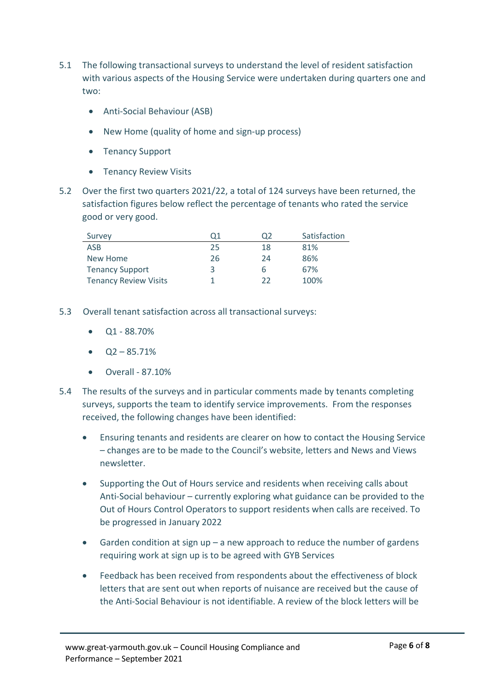- 5.1 The following transactional surveys to understand the level of resident satisfaction with various aspects of the Housing Service were undertaken during quarters one and two:
	- Anti-Social Behaviour (ASB)
	- New Home (quality of home and sign-up process)
	- Tenancy Support
	- Tenancy Review Visits
- 5.2 Over the first two quarters 2021/22, a total of 124 surveys have been returned, the satisfaction figures below reflect the percentage of tenants who rated the service good or very good.

| Survey                       | Q1 | O <sub>2</sub> | Satisfaction |
|------------------------------|----|----------------|--------------|
| ASB                          | 25 | 18             | 81%          |
| New Home                     | 26 | 24             | 86%          |
| <b>Tenancy Support</b>       | 3  | b              | 67%          |
| <b>Tenancy Review Visits</b> |    | つつ             | 100%         |

- 5.3 Overall tenant satisfaction across all transactional surveys:
	- Q1 88.70%
	- $\bullet$   $Q2 85.71\%$
	- Overall 87.10%
- 5.4 The results of the surveys and in particular comments made by tenants completing surveys, supports the team to identify service improvements. From the responses received, the following changes have been identified:
	- Ensuring tenants and residents are clearer on how to contact the Housing Service – changes are to be made to the Council's website, letters and News and Views newsletter.
	- Supporting the Out of Hours service and residents when receiving calls about Anti-Social behaviour – currently exploring what guidance can be provided to the Out of Hours Control Operators to support residents when calls are received. To be progressed in January 2022
	- Garden condition at sign up a new approach to reduce the number of gardens requiring work at sign up is to be agreed with GYB Services
	- Feedback has been received from respondents about the effectiveness of block letters that are sent out when reports of nuisance are received but the cause of the Anti-Social Behaviour is not identifiable. A review of the block letters will be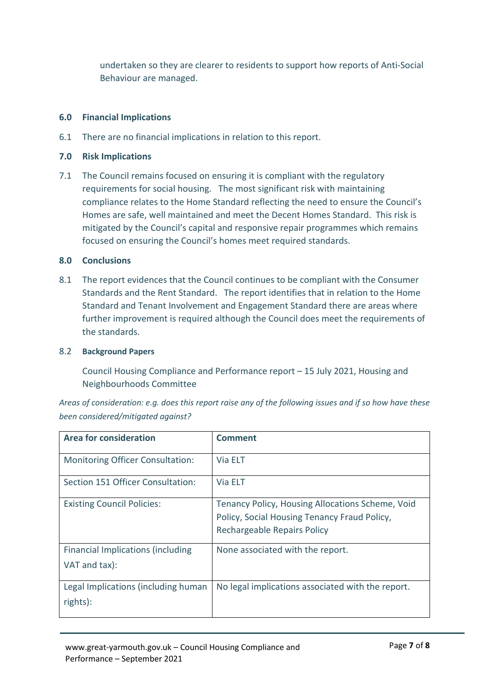undertaken so they are clearer to residents to support how reports of Anti-Social Behaviour are managed.

## **6.0 Financial Implications**

6.1 There are no financial implications in relation to this report.

## **7.0 Risk Implications**

7.1 The Council remains focused on ensuring it is compliant with the regulatory requirements for social housing. The most significant risk with maintaining compliance relates to the Home Standard reflecting the need to ensure the Council's Homes are safe, well maintained and meet the Decent Homes Standard. This risk is mitigated by the Council's capital and responsive repair programmes which remains focused on ensuring the Council's homes meet required standards.

#### **8.0 Conclusions**

8.1 The report evidences that the Council continues to be compliant with the Consumer Standards and the Rent Standard. The report identifies that in relation to the Home Standard and Tenant Involvement and Engagement Standard there are areas where further improvement is required although the Council does meet the requirements of the standards.

#### 8.2 **Background Papers**

Council Housing Compliance and Performance report – 15 July 2021, Housing and Neighbourhoods Committee

*Areas of consideration: e.g. does this report raise any of the following issues and if so how have these been considered/mitigated against?* 

| <b>Area for consideration</b>                             | <b>Comment</b>                                                                                                                  |
|-----------------------------------------------------------|---------------------------------------------------------------------------------------------------------------------------------|
| <b>Monitoring Officer Consultation:</b>                   | Via ELT                                                                                                                         |
| Section 151 Officer Consultation:                         | Via ELT                                                                                                                         |
| <b>Existing Council Policies:</b>                         | Tenancy Policy, Housing Allocations Scheme, Void<br>Policy, Social Housing Tenancy Fraud Policy,<br>Rechargeable Repairs Policy |
| <b>Financial Implications (including</b><br>VAT and tax): | None associated with the report.                                                                                                |
| Legal Implications (including human<br>rights):           | No legal implications associated with the report.                                                                               |